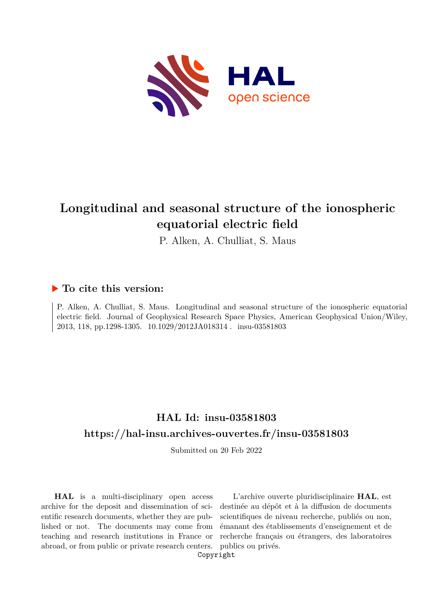

# **Longitudinal and seasonal structure of the ionospheric equatorial electric field**

P. Alken, A. Chulliat, S. Maus

### **To cite this version:**

P. Alken, A. Chulliat, S. Maus. Longitudinal and seasonal structure of the ionospheric equatorial electric field. Journal of Geophysical Research Space Physics, American Geophysical Union/Wiley, 2013, 118, pp.1298-1305. 10.1029/2012JA018314. insu-03581803

## **HAL Id: insu-03581803 <https://hal-insu.archives-ouvertes.fr/insu-03581803>**

Submitted on 20 Feb 2022

**HAL** is a multi-disciplinary open access archive for the deposit and dissemination of scientific research documents, whether they are published or not. The documents may come from teaching and research institutions in France or abroad, or from public or private research centers.

L'archive ouverte pluridisciplinaire **HAL**, est destinée au dépôt et à la diffusion de documents scientifiques de niveau recherche, publiés ou non, émanant des établissements d'enseignement et de recherche français ou étrangers, des laboratoires publics ou privés.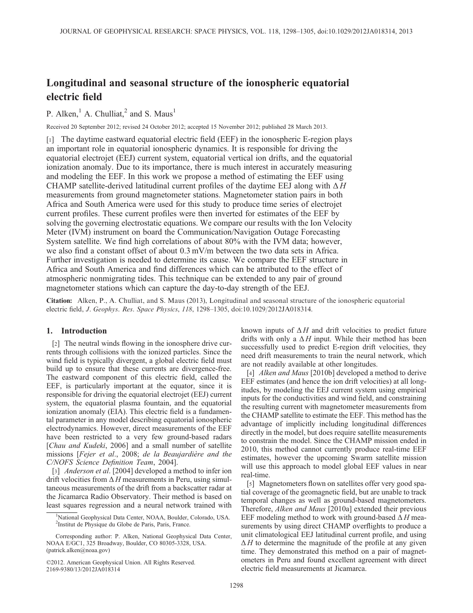## Longitudinal and seasonal structure of the ionospheric equatorial electric field

P. Alken, $<sup>1</sup>$  A. Chulliat, $<sup>2</sup>$  and S. Maus<sup>1</sup></sup></sup>

Received 20 September 2012; revised 24 October 2012; accepted 15 November 2012; published 28 March 2013.

[1] The daytime eastward equatorial electric field (EEF) in the ionospheric E-region plays an important role in equatorial ionospheric dynamics. It is responsible for driving the equatorial electrojet (EEJ) current system, equatorial vertical ion drifts, and the equatorial ionization anomaly. Due to its importance, there is much interest in accurately measuring and modeling the EEF. In this work we propose a method of estimating the EEF using CHAMP satellite-derived latitudinal current profiles of the daytime EEJ along with  $\Delta H$ measurements from ground magnetometer stations. Magnetometer station pairs in both Africa and South America were used for this study to produce time series of electrojet current profiles. These current profiles were then inverted for estimates of the EEF by solving the governing electrostatic equations. We compare our results with the Ion Velocity Meter (IVM) instrument on board the Communication/Navigation Outage Forecasting System satellite. We find high correlations of about 80% with the IVM data; however, we also find a constant offset of about 0.3 mV/m between the two data sets in Africa. Further investigation is needed to determine its cause. We compare the EEF structure in Africa and South America and find differences which can be attributed to the effect of atmospheric nonmigrating tides. This technique can be extended to any pair of ground magnetometer stations which can capture the day-to-day strength of the EEJ.

Citation: Alken, P., A. Chulliat, and S. Maus (2013), Longitudinal and seasonal structure of the ionospheric equatorial electric field, J. Geophys. Res. Space Physics, 118, 1298–1305, doi:10.1029/2012JA018314.

#### 1. Introduction

[2] The neutral winds flowing in the ionosphere drive currents through collisions with the ionized particles. Since the wind field is typically divergent, a global electric field must build up to ensure that these currents are divergence-free. The eastward component of this electric field, called the EEF, is particularly important at the equator, since it is responsible for driving the equatorial electrojet (EEJ) current system, the equatorial plasma fountain, and the equatorial ionization anomaly (EIA). This electric field is a fundamental parameter in any model describing equatorial ionospheric electrodynamics. However, direct measurements of the EEF have been restricted to a very few ground-based radars [Chau and Kudeki, 2006] and a small number of satellite missions [Fejer et al., 2008; de la Beaujardière and the C/NOFS Science Definition Team, 2004].

[3] *Anderson et al.* [2004] developed a method to infer ion drift velocities from  $\Delta H$  measurements in Peru, using simultaneous measurements of the drift from a backscatter radar at the Jicamarca Radio Observatory. Their method is based on least squares regression and a neural network trained with

©2012. American Geophysical Union. All Rights Reserved. 2169-9380/13/2012JA018314

known inputs of  $\Delta H$  and drift velocities to predict future drifts with only a  $\Delta H$  input. While their method has been successfully used to predict E-region drift velocities, they need drift measurements to train the neural network, which are not readily available at other longitudes.

[4] Alken and Maus [2010b] developed a method to derive EEF estimates (and hence the ion drift velocities) at all longitudes, by modeling the EEJ current system using empirical inputs for the conductivities and wind field, and constraining the resulting current with magnetometer measurements from the CHAMP satellite to estimate the EEF. This method has the advantage of implicitly including longitudinal differences directly in the model, but does require satellite measurements to constrain the model. Since the CHAMP mission ended in 2010, this method cannot currently produce real-time EEF estimates, however the upcoming Swarm satellite mission will use this approach to model global EEF values in near real-time.

[5] Magnetometers flown on satellites offer very good spatial coverage of the geomagnetic field, but are unable to track temporal changes as well as ground-based magnetometers. Therefore, Alken and Maus [2010a] extended their previous EEF modeling method to work with ground-based  $\Delta H$  measurements by using direct CHAMP overflights to produce a unit climatological EEJ latitudinal current profile, and using  $\Delta H$  to determine the magnitude of the profile at any given time. They demonstrated this method on a pair of magnetometers in Peru and found excellent agreement with direct electric field measurements at Jicamarca.

<sup>&</sup>lt;sup>1</sup>National Geophysical Data Center, NOAA, Boulder, Colorado, USA. 2 Institut de Physique du Globe de Paris, Paris, France.

Corresponding author: P. Alken, National Geophysical Data Center, NOAA E/GC1, 325 Broadway, Boulder, CO 80305-3328, USA. (patrick.alken@noaa.gov)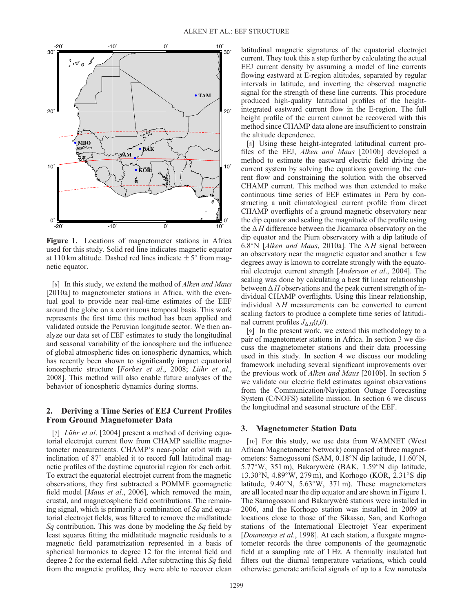

Figure 1. Locations of magnetometer stations in Africa used for this study. Solid red line indicates magnetic equator at 110 km altitude. Dashed red lines indicate  $\pm 5^{\circ}$  from magnetic equator.

[6] In this study, we extend the method of *Alken and Maus* [2010a] to magnetometer stations in Africa, with the eventual goal to provide near real-time estimates of the EEF around the globe on a continuous temporal basis. This work represents the first time this method has been applied and validated outside the Peruvian longitude sector. We then analyze our data set of EEF estimates to study the longitudinal and seasonal variability of the ionosphere and the influence of global atmospheric tides on ionospheric dynamics, which has recently been shown to significantly impact equatorial ionospheric structure [Forbes et al., 2008; Lühr et al., 2008]. This method will also enable future analyses of the behavior of ionospheric dynamics during storms.

#### 2. Deriving a Time Series of EEJ Current Profiles From Ground Magnetometer Data

[7] *Lühr et al.* [2004] present a method of deriving equatorial electrojet current flow from CHAMP satellite magnetometer measurements. CHAMP's near-polar orbit with an inclination of  $87^\circ$  enabled it to record full latitudinal magnetic profiles of the daytime equatorial region for each orbit. To extract the equatorial electrojet current from the magnetic observations, they first subtracted a POMME geomagnetic field model [*Maus et al.*, 2006], which removed the main, crustal, and magnetospheric field contributions. The remaining signal, which is primarily a combination of  $Sq$  and equatorial electrojet fields, was filtered to remove the midlatitude Sq contribution. This was done by modeling the Sq field by least squares fitting the midlatitude magnetic residuals to a magnetic field parametrization represented in a basis of spherical harmonics to degree 12 for the internal field and degree 2 for the external field. After subtracting this  $Sq$  field from the magnetic profiles, they were able to recover clean

latitudinal magnetic signatures of the equatorial electrojet current. They took this a step further by calculating the actual EEJ current density by assuming a model of line currents flowing eastward at E-region altitudes, separated by regular intervals in latitude, and inverting the observed magnetic signal for the strength of these line currents. This procedure produced high-quality latitudinal profiles of the heightintegrated eastward current flow in the E-region. The full height profile of the current cannot be recovered with this method since CHAMP data alone are insufficient to constrain the altitude dependence.

[8] Using these height-integrated latitudinal current profiles of the EEJ, Alken and Maus [2010b] developed a method to estimate the eastward electric field driving the current system by solving the equations governing the current flow and constraining the solution with the observed CHAMP current. This method was then extended to make continuous time series of EEF estimates in Peru by constructing a unit climatological current profile from direct CHAMP overflights of a ground magnetic observatory near the dip equator and scaling the magnitude of the profile using the  $\Delta H$  difference between the Jicamarca observatory on the dip equator and the Piura observatory with a dip latitude of 6.8°N [Alken and Maus, 2010a]. The  $\Delta H$  signal between an observatory near the magnetic equator and another a few degrees away is known to correlate strongly with the equatorial electrojet current strength [Anderson et al., 2004]. The scaling was done by calculating a best fit linear relationship between  $\Delta H$  observations and the peak current strength of individual CHAMP overflights. Using this linear relationship, individual  $\Delta H$  measurements can be converted to current scaling factors to produce a complete time series of latitudinal current profiles  $J_{\Lambda H}(t,\theta)$ .

[9] In the present work, we extend this methodology to a pair of magnetometer stations in Africa. In section 3 we discuss the magnetometer stations and their data processing used in this study. In section 4 we discuss our modeling framework including several significant improvements over the previous work of Alken and Maus [2010b]. In section 5 we validate our electric field estimates against observations from the Communication/Navigation Outage Forecasting System (C/NOFS) satellite mission. In section 6 we discuss the longitudinal and seasonal structure of the EEF.

#### 3. Magnetometer Station Data

[10] For this study, we use data from WAMNET (West African Magnetometer Network) composed of three magnetometers: Samogossoni (SAM, 0.18°N dip latitude, 11.60°N, 5.77°W, 351 m), Bakarywéré (BAK, 1.59°N dip latitude, 13.30°N, 4.89°W, 279 m), and Korhogo (KOR, 2.31°S dip latitude,  $9.40^{\circ}$ N,  $5.63^{\circ}$ W,  $371$  m). These magnetometers are all located near the dip equator and are shown in Figure 1. The Samogossoni and Bakarywéré stations were installed in 2006, and the Korhogo station was installed in 2009 at locations close to those of the Sikasso, San, and Korhogo stations of the International Electrojet Year experiment [Doumouya et al., 1998]. At each station, a fluxgate magnetometer records the three components of the geomagnetic field at a sampling rate of 1 Hz. A thermally insulated hut filters out the diurnal temperature variations, which could otherwise generate artificial signals of up to a few nanotesla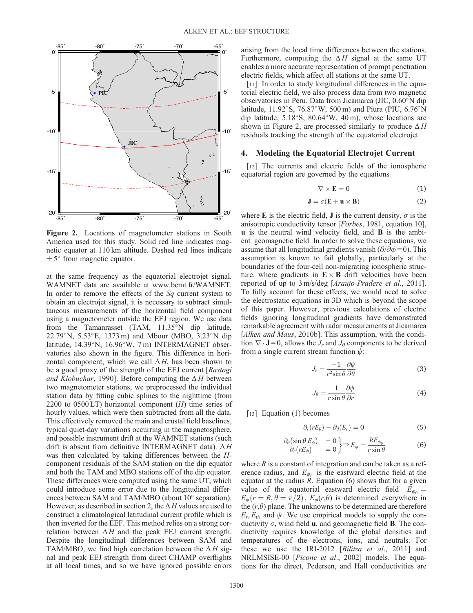

Figure 2. Locations of magnetometer stations in South America used for this study. Solid red line indicates magnetic equator at 110 km altitude. Dashed red lines indicate  $\pm$  5° from magnetic equator.

at the same frequency as the equatorial electrojet signal. WAMNET data are available at [www.bcmt.fr/WAMNET](http://www.bcmt.fr/WAMNET). In order to remove the effects of the Sq current system to obtain an electrojet signal, it is necessary to subtract simultaneous measurements of the horizontal field component using a magnetometer outside the EEJ region. We use data from the Tamanrasset (TAM,  $11.35^{\circ}$ N dip latitude, 22.79 $\rmdegree N$ , 5.53 $\rmdegree E$ , 1373 m) and Mbour (MBO, 3.23 $\rmdegree N$  dip latitude,  $14.39^{\circ}$ N,  $16.96^{\circ}$ W,  $7 \text{ m}$ ) INTERMAGNET observatories also shown in the figure. This difference in horizontal component, which we call  $\Delta H$ , has been shown to be a good proxy of the strength of the EEJ current [Rastogi and Klobuchar, 1990]. Before computing the  $\Delta H$  between two magnetometer stations, we preprocessed the individual station data by fitting cubic splines to the nighttime (from 2200 to 0500 LT) horizontal component  $(H)$  time series of hourly values, which were then subtracted from all the data. This effectively removed the main and crustal field baselines, typical quiet-day variations occurring in the magnetosphere, and possible instrument drift at the WAMNET stations (such drift is absent from definitive INTERMAGNET data).  $\Delta H$ was then calculated by taking differences between the Hcomponent residuals of the SAM station on the dip equator and both the TAM and MBO stations off of the dip equator. These differences were computed using the same UT, which could introduce some error due to the longitudinal differences between SAM and TAM/MBO (about  $10^{\circ}$  separation). However, as described in section 2, the  $\Delta H$  values are used to construct a climatological latitudinal current profile which is then inverted for the EEF. This method relies on a strong correlation between  $\Delta H$  and the peak EEJ current strength. Despite the longitudinal differences between SAM and TAM/MBO, we find high correlation between the  $\Delta H$  signal and peak EEJ strength from direct CHAMP overflights at all local times, and so we have ignored possible errors

arising from the local time differences between the stations. Furthermore, computing the  $\Delta H$  signal at the same UT enables a more accurate representation of prompt penetration electric fields, which affect all stations at the same UT.

[11] In order to study longitudinal differences in the equatorial electric field, we also process data from two magnetic observatories in Peru. Data from Jicamarca (JIC,  $0.60^\circ$ N dip latitude, 11.92°S, 76.87°W, 500 m) and Piura (PIU, 6.76°N dip latitude,  $5.18^{\circ}$ S,  $80.64^{\circ}$ W,  $40$  m), whose locations are shown in Figure 2, are processed similarly to produce  $\Delta H$ residuals tracking the strength of the equatorial electrojet.

#### 4. Modeling the Equatorial Electrojet Current

[12] The currents and electric fields of the ionospheric equatorial region are governed by the equations

$$
\nabla \times \mathbf{E} = 0 \tag{1}
$$

$$
\mathbf{J} = \sigma(\mathbf{E} + \mathbf{u} \times \mathbf{B}) \tag{2}
$$

where E is the electric field, **J** is the current density,  $\sigma$  is the anisotropic conductivity tensor [Forbes, 1981, equation 10], u is the neutral wind velocity field, and B is the ambient geomagnetic field. In order to solve these equations, we assume that all longitudinal gradients vanish ( $\partial/\bar{\partial}\phi = 0$ ). This assumption is known to fail globally, particularly at the boundaries of the four-cell non-migrating ionospheric structure, where gradients in  $\mathbf{E} \times \mathbf{B}$  drift velocities have been reported of up to 3 m/s/deg [Araujo-Pradere et al., 2011]. To fully account for these effects, we would need to solve the electrostatic equations in 3D which is beyond the scope of this paper. However, previous calculations of electric fields ignoring longitudinal gradients have demonstrated remarkable agreement with radar measurements at Jicamarca [Alken and Maus, 2010b]. This assumption, with the condition  $\nabla \cdot \mathbf{J} = 0$ , allows the  $J_r$  and  $J_\theta$  components to be derived from a single current stream function  $\psi$ :

$$
J_r = \frac{-1}{r^2 \sin \theta} \frac{\partial \psi}{\partial \theta} \tag{3}
$$

$$
J_{\theta} = \frac{1}{r \sin \theta} \frac{\partial \psi}{\partial r}
$$
 (4)

[13] Equation (1) becomes

$$
\partial_r(rE_\theta) - \partial_\theta(E_r) = 0 \tag{5}
$$

$$
\frac{\partial_{\theta} (\sin \theta \, E_{\phi})}{\partial_r (r E_{\phi})} = 0 \bigg\} \Rightarrow E_{\phi} = \frac{R E_{\phi_0}}{r \sin \theta} \tag{6}
$$

where  $R$  is a constant of integration and can be taken as a reference radius, and  $E_{\phi_0}$  is the eastward electric field at the equator at the radius  $\ddot{R}$ . Equation (6) shows that for a given value of the equatorial eastward electric field  $E_{\phi_0} =$  $E_{\phi}(r = R, \theta = \pi/2), E_{\phi}(r, \theta)$  is determined everywhere in the  $(r,\theta)$  plane. The unknowns to be determined are therefore  $E_r$ ,  $E_\theta$ , and  $\psi$ . We use empirical models to supply the conductivity  $\sigma$ , wind field **u**, and geomagnetic field **B**. The conductivity requires knowledge of the global densities and temperatures of the electrons, ions, and neutrals. For these we use the IRI-2012 [Bilitza et al., 2011] and NRLMSISE-00 [Picone et al., 2002] models. The equations for the direct, Pedersen, and Hall conductivities are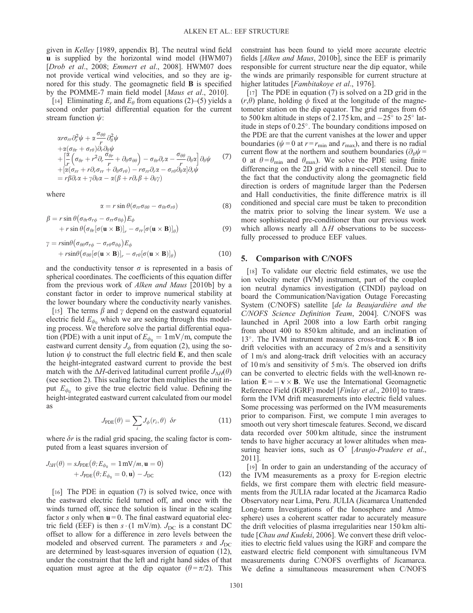given in Kelley [1989, appendix B]. The neutral wind field u is supplied by the horizontal wind model (HWM07) [Drob et al., 2008; Emmert et al., 2008]. HWM07 does not provide vertical wind velocities, and so they are ignored for this study. The geomagnetic field B is specified by the POMME-7 main field model [Maus et al., 2010].

[14] Eliminating  $E_r$  and  $E_\theta$  from equations (2)–(5) yields a second order partial differential equation for the current stream function  $\psi$ :

$$
\alpha r \sigma_{rr} \partial_r^2 \psi + \alpha \frac{\sigma_{\theta\theta}}{r} \partial_\theta^2 \psi \n+ \alpha (\sigma_{\theta r} + \sigma_{r\theta}) \partial_r \partial_\theta \psi \n+ \left[ \frac{\alpha}{r} \left( \sigma_{\theta r} + r^2 \partial_r \frac{\sigma_{\theta r}}{r} + \partial_\theta \sigma_{\theta \theta} \right) - \sigma_{\theta r} \partial_r \alpha - \frac{\sigma_{\theta \theta}}{r} \partial_\theta \alpha \right] \partial_\theta \psi \n+ \left[ \alpha (\sigma_{rr} + r \partial_r \sigma_{rr} + \partial_\theta \sigma_{r\theta}) - r \sigma_{rr} \partial_r \alpha - \sigma_{r\theta} \partial_\theta \alpha \right] \partial_r \psi \n= r \beta \partial_r \alpha + \gamma \partial_\theta \alpha - \alpha (\beta + r \partial_r \beta + \partial_\theta \gamma)
$$
\n(7)

where

$$
\alpha = r \sin \theta (\sigma_{rr} \sigma_{\theta \theta} - \sigma_{\theta r} \sigma_{r \theta}) \tag{8}
$$

$$
\beta = r \sin \theta \left( \sigma_{\theta r} \sigma_{r\phi} - \sigma_{rr} \sigma_{\theta \phi} \right) E_{\phi} + r \sin \theta \left( \sigma_{\theta r} [\sigma(\mathbf{u} \times \mathbf{B})]_r - \sigma_{rr} [\sigma(\mathbf{u} \times \mathbf{B})]_{\theta} \right)
$$
(9)

$$
\gamma = r \sin \theta \left( \sigma_{\theta \theta} \sigma_{r\phi} - \sigma_{r\theta} \sigma_{\theta \phi} \right) E_{\phi} + r \sin \theta \left( \sigma_{\theta \theta} [\sigma (\mathbf{u} \times \mathbf{B})]_r - \sigma_{r\theta} [\sigma (\mathbf{u} \times \mathbf{B})]_{\theta} \right)
$$
(10)

and the conductivity tensor  $\sigma$  is represented in a basis of spherical coordinates. The coefficients of this equation differ from the previous work of Alken and Maus [2010b] by a constant factor in order to improve numerical stability at the lower boundary where the conductivity nearly vanishes.

[15] The terms  $\beta$  and  $\gamma$  depend on the eastward equatorial electric field  $E_{\phi_0}$  which we are seeking through this modeling process. We therefore solve the partial differential equation (PDE) with a unit input of  $E_{\phi_0} = 1 \text{ mV/m}$ , compute the eastward current density  $J_{\phi}$  from equation (2), using the solution  $\psi$  to construct the full electric field E, and then scale the height-integrated eastward current to provide the best match with the  $\Delta H$ -derived latitudinal current profile  $J_{\Delta H}(\theta)$ (see section 2). This scaling factor then multiplies the unit input  $E_{\phi_0}$  to give the true electric field value. Defining the height-integrated eastward current calculated from our model as

$$
J_{\text{PDE}}(\theta) = \sum_{i} J_{\phi}(r_i, \theta) \delta r \tag{11}
$$

where  $\delta r$  is the radial grid spacing, the scaling factor is computed from a least squares inversion of

$$
J_{\Delta H}(\theta) = sJ_{\text{PDE}}(\theta; E_{\phi_0} = 1 \,\text{mV/m}, \mathbf{u} = 0) + J_{\text{PDE}}(\theta; E_{\phi_0} = 0, \mathbf{u}) - J_{\text{DC}}
$$
(12)

[16] The PDE in equation (7) is solved twice, once with the eastward electric field turned off, and once with the winds turned off, since the solution is linear in the scaling factor s only when  $\mathbf{u} = 0$ . The final eastward equatorial electric field (EEF) is then  $s \cdot (1 \text{ mV/m})$ .  $J_{\text{DC}}$  is a constant DC offset to allow for a difference in zero levels between the modeled and observed current. The parameters s and  $J_{\text{DC}}$ are determined by least-squares inversion of equation (12), under the constraint that the left and right hand sides of that equation must agree at the dip equator ( $\theta = \pi/2$ ). This constraint has been found to yield more accurate electric fields [Alken and Maus, 2010b], since the EEF is primarily responsible for current structure near the dip equator, while the winds are primarily responsible for current structure at higher latitudes [*Fambitakove et al.*, 1976].

[17] The PDE in equation (7) is solved on a 2D grid in the  $(r,\theta)$  plane, holding  $\phi$  fixed at the longitude of the magnetometer station on the dip equator. The grid ranges from 65 to 500 km altitude in steps of 2.175 km, and  $-25^{\circ}$  to 25 $^{\circ}$  latitude in steps of  $0.25^{\circ}$ . The boundary conditions imposed on the PDE are that the current vanishes at the lower and upper boundaries ( $\psi = 0$  at  $r = r_{\min}$  and  $r_{\max}$ ), and there is no radial current flow at the northern and southern boundaries ( $\partial_{\theta} \psi$  = 0 at  $\theta = \theta_{\min}$  and  $\theta_{\max}$ ). We solve the PDE using finite differencing on the 2D grid with a nine-cell stencil. Due to the fact that the conductivity along the geomagnetic field direction is orders of magnitude larger than the Pedersen and Hall conductivities, the finite difference matrix is ill conditioned and special care must be taken to precondition the matrix prior to solving the linear system. We use a more sophisticated pre-conditioner than our previous work which allows nearly all  $\Delta H$  observations to be successfully processed to produce EEF values.

#### 5. Comparison with C/NOFS

[18] To validate our electric field estimates, we use the ion velocity meter (IVM) instrument, part of the coupled ion neutral dynamics investigation (CINDI) payload on board the Communication/Navigation Outage Forecasting System (C/NOFS) satellite [de la Beaujardière and the C/NOFS Science Definition Team, 2004]. C/NOFS was launched in April 2008 into a low Earth orbit ranging from about 400 to 850 km altitude, and an inclination of 13°. The IVM instrument measures cross-track  $\mathbf{E} \times \mathbf{B}$  ion drift velocities with an accuracy of 2 m/s and a sensitivity of 1 m/s and along-track drift velocities with an accuracy of 10 m/s and sensitivity of 5 m/s. The observed ion drifts can be converted to electric fields with the well-known relation  $\mathbf{E} = -\mathbf{v} \times \mathbf{B}$ . We use the International Geomagnetic Reference Field (IGRF) model [Finlay et al., 2010] to transform the IVM drift measurements into electric field values. Some processing was performed on the IVM measurements prior to comparison. First, we compute 1 min averages to smooth out very short timescale features. Second, we discard data recorded over 500 km altitude, since the instrument tends to have higher accuracy at lower altitudes when measuring heavier ions, such as  $O^+$  [Araujo-Pradere et al., 2011].

[19] In order to gain an understanding of the accuracy of the IVM measurements as a proxy for E-region electric fields, we first compare them with electric field measurements from the JULIA radar located at the Jicamarca Radio Observatory near Lima, Peru. JULIA (Jicamarca Unattended Long-term Investigations of the Ionosphere and Atmosphere) uses a coherent scatter radar to accurately measure the drift velocities of plasma irregularities near 150 km altitude [Chau and Kudeki, 2006]. We convert these drift velocities to electric field values using the IGRF and compare the eastward electric field component with simultaneous IVM measurements during C/NOFS overflights of Jicamarca. We define a simultaneous measurement when C/NOFS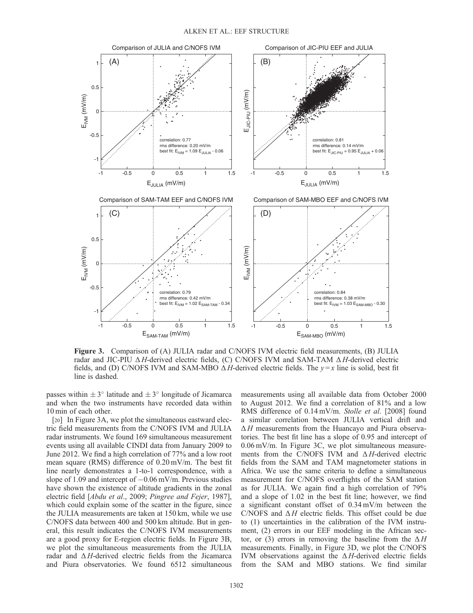

Figure 3. Comparison of (A) JULIA radar and C/NOFS IVM electric field measurements, (B) JULIA radar and JIC-PIU  $\Delta H$ -derived electric fields, (C) C/NOFS IVM and SAM-TAM  $\Delta H$ -derived electric fields, and (D) C/NOFS IVM and SAM-MBO  $\Delta H$ -derived electric fields. The  $y=x$  line is solid, best fit line is dashed.

passes within  $\pm 3^{\circ}$  latitude and  $\pm 3^{\circ}$  longitude of Jicamarca and when the two instruments have recorded data within 10 min of each other.

[20] In Figure 3A, we plot the simultaneous eastward electric field measurements from the C/NOFS IVM and JULIA radar instruments. We found 169 simultaneous measurement events using all available CINDI data from January 2009 to June 2012. We find a high correlation of 77% and a low root mean square (RMS) difference of 0.20 mV/m. The best fit line nearly demonstrates a 1-to-1 correspondence, with a slope of 1.09 and intercept of  $-0.06$  mV/m. Previous studies have shown the existence of altitude gradients in the zonal electric field [Abdu et al., 2009; Pingree and Fejer, 1987], which could explain some of the scatter in the figure, since the JULIA measurements are taken at 150 km, while we use C/NOFS data between 400 and 500 km altitude. But in general, this result indicates the C/NOFS IVM measurements are a good proxy for E-region electric fields. In Figure 3B, we plot the simultaneous measurements from the JULIA radar and  $\Delta H$ -derived electric fields from the Jicamarca and Piura observatories. We found 6512 simultaneous

measurements using all available data from October 2000 to August 2012. We find a correlation of 81% and a low RMS difference of 0.14 mV/m. Stolle et al. [2008] found a similar correlation between JULIA vertical drift and  $\Delta H$  measurements from the Huancayo and Piura observatories. The best fit line has a slope of 0.95 and intercept of 0.06 mV/m. In Figure 3C, we plot simultaneous measurements from the C/NOFS IVM and  $\Delta H$ -derived electric fields from the SAM and TAM magnetometer stations in Africa. We use the same criteria to define a simultaneous measurement for C/NOFS overflights of the SAM station as for JULIA. We again find a high correlation of 79% and a slope of 1.02 in the best fit line; however, we find a significant constant offset of 0.34 mV/m between the C/NOFS and  $\Delta H$  electric fields. This offset could be due to (1) uncertainties in the calibration of the IVM instrument, (2) errors in our EEF modeling in the African sector, or (3) errors in removing the baseline from the  $\Delta H$ measurements. Finally, in Figure 3D, we plot the C/NOFS IVM observations against the  $\Delta H$ -derived electric fields from the SAM and MBO stations. We find similar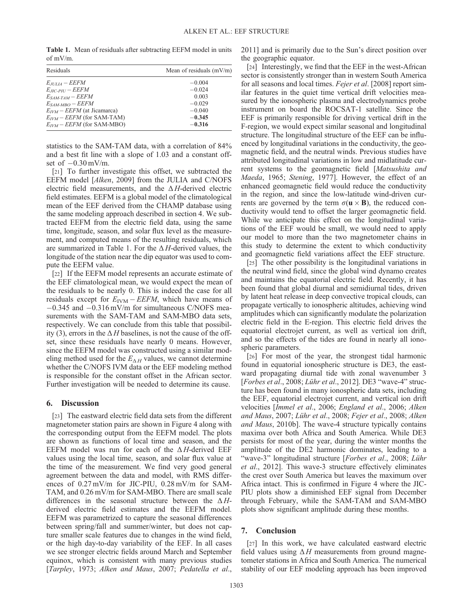Table 1. Mean of residuals after subtracting EEFM model in units of mV/m.

| Residuals                              | Mean of residuals $(mV/m)$ |
|----------------------------------------|----------------------------|
| $E_{JULIA}-EEFM$                       | $-0.004$                   |
| $E_{\textit{IIC-PII}}-EEFM$            | $-0.024$                   |
| $E_{SAM-TAM}-EEFM$                     | 0.003                      |
| $E_{SAM-MBO}-EEFM$                     | $-0.029$                   |
| $E_{IVM}$ – <i>EEFM</i> (at Jicamarca) | $-0.040$                   |
| $E_{IVM}$ – EEFM (for SAM-TAM)         | $-0.345$                   |
| $E_{IVM}$ – <i>EEFM</i> (for SAM-MBO)  | $-0.316$                   |

statistics to the SAM-TAM data, with a correlation of 84% and a best fit line with a slope of 1.03 and a constant offset of  $-0.30$  mV/m.

[21] To further investigate this offset, we subtracted the EEFM model [Alken, 2009] from the JULIA and C/NOFS electric field measurements, and the  $\Delta H$ -derived electric field estimates. EEFM is a global model of the climatological mean of the EEF derived from the CHAMP database using the same modeling approach described in section 4. We subtracted EEFM from the electric field data, using the same time, longitude, season, and solar flux level as the measurement, and computed means of the resulting residuals, which are summarized in Table 1. For the  $\Delta H$ -derived values, the longitude of the station near the dip equator was used to compute the EEFM value.

[22] If the EEFM model represents an accurate estimate of the EEF climatological mean, we would expect the mean of the residuals to be nearly 0. This is indeed the case for all residuals except for  $E_{\text{IVM}}$  – EEFM, which have means of  $-0.345$  and  $-0.316$  mV/m for simultaneous C/NOFS measurements with the SAM-TAM and SAM-MBO data sets, respectively. We can conclude from this table that possibility (3), errors in the  $\Delta H$  baselines, is not the cause of the offset, since these residuals have nearly 0 means. However, since the EEFM model was constructed using a similar modeling method used for the  $E_{\Delta H}$  values, we cannot determine whether the C/NOFS IVM data or the EEF modeling method is responsible for the constant offset in the African sector. Further investigation will be needed to determine its cause.

#### 6. Discussion

[23] The eastward electric field data sets from the different magnetometer station pairs are shown in Figure 4 along with the corresponding output from the EEFM model. The plots are shown as functions of local time and season, and the EEFM model was run for each of the  $\Delta H$ -derived EEF values using the local time, season, and solar flux value at the time of the measurement. We find very good general agreement between the data and model, with RMS differences of 0.27 mV/m for JIC-PIU, 0.28 mV/m for SAM-TAM, and 0.26 mV/m for SAM-MBO. There are small scale differences in the seasonal structure between the  $\Delta H$ derived electric field estimates and the EEFM model. EEFM was parametrized to capture the seasonal differences between spring/fall and summer/winter, but does not capture smaller scale features due to changes in the wind field, or the high day-to-day variability of the EEF. In all cases we see stronger electric fields around March and September equinox, which is consistent with many previous studies [Tarpley, 1973; Alken and Maus, 2007; Pedatella et al., 2011] and is primarily due to the Sun's direct position over the geographic equator.

[24] Interestingly, we find that the EEF in the west-African sector is consistently stronger than in western South America for all seasons and local times. Fejer et al. [2008] report similar features in the quiet time vertical drift velocities measured by the ionospheric plasma and electrodynamics probe instrument on board the ROCSAT-1 satellite. Since the EEF is primarily responsible for driving vertical drift in the F-region, we would expect similar seasonal and longitudinal structure. The longitudinal structure of the EEF can be influenced by longitudinal variations in the conductivity, the geomagnetic field, and the neutral winds. Previous studies have attributed longitudinal variations in low and midlatitude current systems to the geomagnetic field [Matsushita and Maeda, 1965; Stening, 1977]. However, the effect of an enhanced geomagnetic field would reduce the conductivity in the region, and since the low-latitude wind-driven currents are governed by the term  $\sigma(\mathbf{u} \times \mathbf{B})$ , the reduced conductivity would tend to offset the larger geomagnetic field. While we anticipate this effect on the longitudinal variations of the EEF would be small, we would need to apply our model to more than the two magnetometer chains in this study to determine the extent to which conductivity and geomagnetic field variations affect the EEF structure.

[25] The other possibility is the longitudinal variations in the neutral wind field, since the global wind dynamo creates and maintains the equatorial electric field. Recently, it has been found that global diurnal and semidiurnal tides, driven by latent heat release in deep convective tropical clouds, can propagate vertically to ionospheric altitudes, achieving wind amplitudes which can significantly modulate the polarization electric field in the E-region. This electric field drives the equatorial electrojet current, as well as vertical ion drift, and so the effects of the tides are found in nearly all ionospheric parameters.

[26] For most of the year, the strongest tidal harmonic found in equatorial ionospheric structure is DE3, the eastward propagating diurnal tide with zonal wavenumber 3 [Forbes et al., 2008; Lühr et al., 2012]. DE3 "wave-4" structure has been found in many ionospheric data sets, including the EEF, equatorial electrojet current, and vertical ion drift velocities [Immel et al., 2006; England et al., 2006; Alken and Maus, 2007; Lühr et al., 2008; Fejer et al., 2008; Alken and Maus, 2010b]. The wave-4 structure typically contains maxima over both Africa and South America. While DE3 persists for most of the year, during the winter months the amplitude of the DE2 harmonic dominates, leading to a "wave-3" longitudinal structure [Forbes et al., 2008; Lühr et al., 2012]. This wave-3 structure effectively eliminates the crest over South America but leaves the maximum over Africa intact. This is confirmed in Figure 4 where the JIC-PIU plots show a diminished EEF signal from December through February, while the SAM-TAM and SAM-MBO plots show significant amplitude during these months.

#### 7. Conclusion

[27] In this work, we have calculated eastward electric field values using  $\Delta H$  measurements from ground magnetometer stations in Africa and South America. The numerical stability of our EEF modeling approach has been improved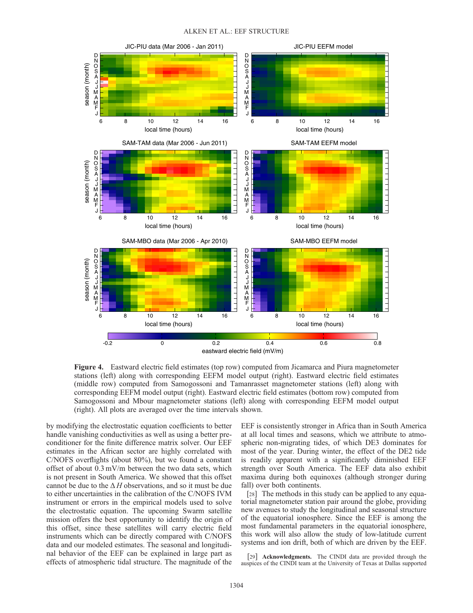

Figure 4. Eastward electric field estimates (top row) computed from Jicamarca and Piura magnetometer stations (left) along with corresponding EEFM model output (right). Eastward electric field estimates (middle row) computed from Samogossoni and Tamanrasset magnetometer stations (left) along with corresponding EEFM model output (right). Eastward electric field estimates (bottom row) computed from Samogossoni and Mbour magnetometer stations (left) along with corresponding EEFM model output (right). All plots are averaged over the time intervals shown.

by modifying the electrostatic equation coefficients to better handle vanishing conductivities as well as using a better preconditioner for the finite difference matrix solver. Our EEF estimates in the African sector are highly correlated with C/NOFS overflights (about 80%), but we found a constant offset of about 0.3 mV/m between the two data sets, which is not present in South America. We showed that this offset cannot be due to the  $\Delta H$  observations, and so it must be due to either uncertainties in the calibration of the C/NOFS IVM instrument or errors in the empirical models used to solve the electrostatic equation. The upcoming Swarm satellite mission offers the best opportunity to identify the origin of this offset, since these satellites will carry electric field instruments which can be directly compared with C/NOFS data and our modeled estimates. The seasonal and longitudinal behavior of the EEF can be explained in large part as effects of atmospheric tidal structure. The magnitude of the

EEF is consistently stronger in Africa than in South America at all local times and seasons, which we attribute to atmospheric non-migrating tides, of which DE3 dominates for most of the year. During winter, the effect of the DE2 tide is readily apparent with a significantly diminished EEF strength over South America. The EEF data also exhibit maxima during both equinoxes (although stronger during fall) over both continents.

[28] The methods in this study can be applied to any equatorial magnetometer station pair around the globe, providing new avenues to study the longitudinal and seasonal structure of the equatorial ionosphere. Since the EEF is among the most fundamental parameters in the equatorial ionosphere, this work will also allow the study of low-latitude current systems and ion drift, both of which are driven by the EEF.

[29] **Acknowledgments.** The CINDI data are provided through the auspices of the CINDI team at the University of Texas at Dallas supported